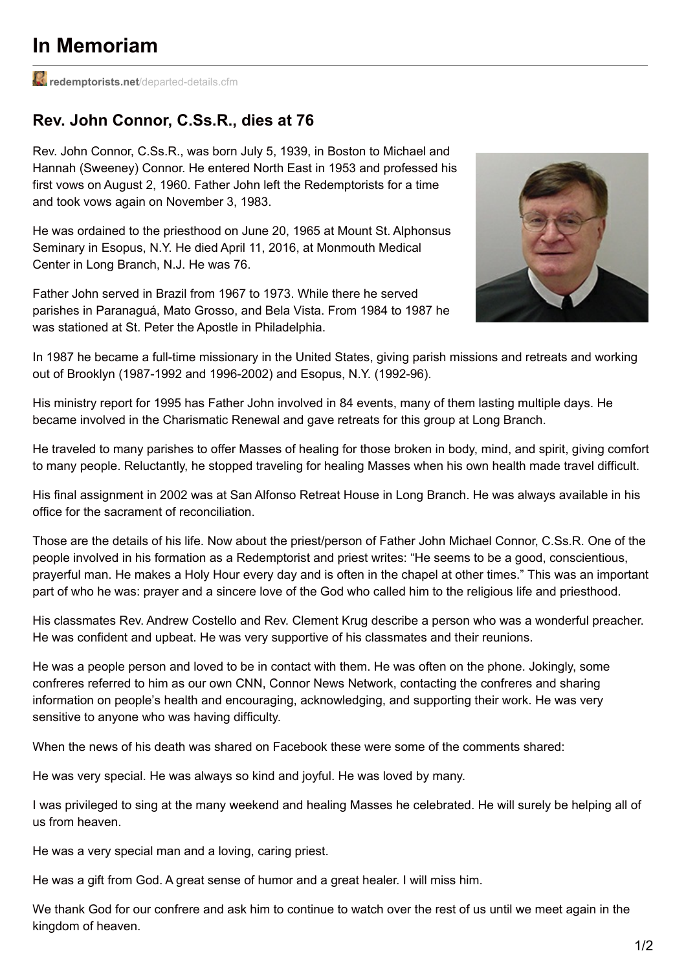## **In Memoriam**

**redemptorists.net**[/departed-details.cfm](http://redemptorists.net/departed-details.cfm?id=81&year=2016)

## **Rev. John Connor, C.Ss.R., dies at 76**

Rev. John Connor, C.Ss.R., was born July 5, 1939, in Boston to Michael and Hannah (Sweeney) Connor. He entered North East in 1953 and professed his first vows on August 2, 1960. Father John left the Redemptorists for a time and took vows again on November 3, 1983.

He was ordained to the priesthood on June 20, 1965 at Mount St. Alphonsus Seminary in Esopus, N.Y. He died April 11, 2016, at Monmouth Medical Center in Long Branch, N.J. He was 76.

Father John served in Brazil from 1967 to 1973. While there he served parishes in Paranaguá, Mato Grosso, and Bela Vista. From 1984 to 1987 he was stationed at St. Peter the Apostle in Philadelphia.



In 1987 he became a full-time missionary in the United States, giving parish missions and retreats and working out of Brooklyn (1987-1992 and 1996-2002) and Esopus, N.Y. (1992-96).

His ministry report for 1995 has Father John involved in 84 events, many of them lasting multiple days. He became involved in the Charismatic Renewal and gave retreats for this group at Long Branch.

He traveled to many parishes to offer Masses of healing for those broken in body, mind, and spirit, giving comfort to many people. Reluctantly, he stopped traveling for healing Masses when his own health made travel difficult.

His final assignment in 2002 was at San Alfonso Retreat House in Long Branch. He was always available in his office for the sacrament of reconciliation.

Those are the details of his life. Now about the priest/person of Father John Michael Connor, C.Ss.R. One of the people involved in his formation as a Redemptorist and priest writes: "He seems to be a good, conscientious, prayerful man. He makes a Holy Hour every day and is often in the chapel at other times." This was an important part of who he was: prayer and a sincere love of the God who called him to the religious life and priesthood.

His classmates Rev. Andrew Costello and Rev. Clement Krug describe a person who was a wonderful preacher. He was confident and upbeat. He was very supportive of his classmates and their reunions.

He was a people person and loved to be in contact with them. He was often on the phone. Jokingly, some confreres referred to him as our own CNN, Connor News Network, contacting the confreres and sharing information on people's health and encouraging, acknowledging, and supporting their work. He was very sensitive to anyone who was having difficulty.

When the news of his death was shared on Facebook these were some of the comments shared:

He was very special. He was always so kind and joyful. He was loved by many.

I was privileged to sing at the many weekend and healing Masses he celebrated. He will surely be helping all of us from heaven.

He was a very special man and a loving, caring priest.

He was a gift from God. A great sense of humor and a great healer. I will miss him.

We thank God for our confrere and ask him to continue to watch over the rest of us until we meet again in the kingdom of heaven.